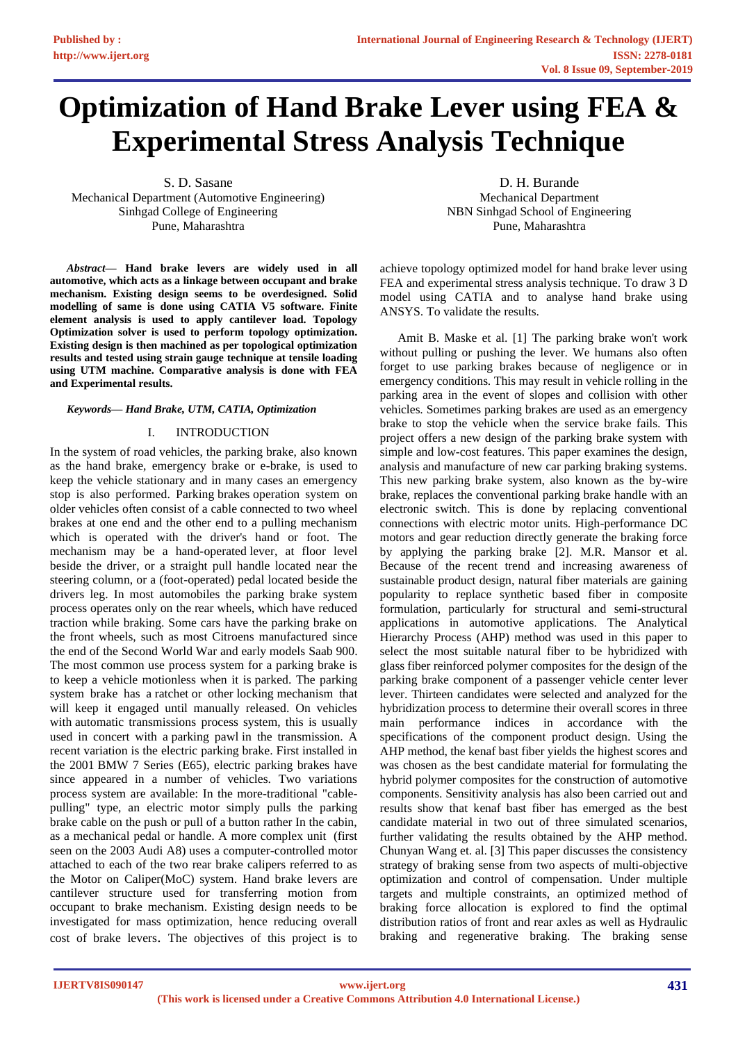# **Optimization of Hand Brake Lever using FEA & Experimental Stress Analysis Technique**

S. D. Sasane Mechanical Department (Automotive Engineering) Sinhgad College of Engineering Pune, Maharashtra

*Abstract***— Hand brake levers are widely used in all automotive, which acts as a linkage between occupant and brake mechanism. Existing design seems to be overdesigned. Solid modelling of same is done using CATIA V5 software. Finite element analysis is used to apply cantilever load. Topology Optimization solver is used to perform topology optimization. Existing design is then machined as per topological optimization results and tested using strain gauge technique at tensile loading using UTM machine. Comparative analysis is done with FEA and Experimental results.**

#### *Keywords— Hand Brake, UTM, CATIA, Optimization*

# I. INTRODUCTION

In the system of road vehicles, the parking brake, also known as the hand brake, emergency brake or e-brake, is used to keep the vehicle stationary and in many cases an emergency stop is also performed. Parking [brakes](https://en.wikipedia.org/wiki/Brake) operation system on older vehicles often consist of a [cable](https://en.wikipedia.org/wiki/Wire_rope) connected to two wheel brakes at one end and the other end to a pulling mechanism which is operated with the driver's hand or foot. The mechanism may be a hand-operated [lever,](https://en.wikipedia.org/wiki/Lever) at floor level beside the driver, or a straight pull handle located near the steering column, or a (foot-operated) [pedal](https://en.wikipedia.org/wiki/Automobile_pedal) located beside the drivers leg. In most automobiles the parking brake system process operates only on the rear wheels, which have reduced traction while braking. Some cars have the parking brake on the front wheels, such as most Citroens manufactured since the end of the Second World War and early models [Saab 900.](https://en.wikipedia.org/wiki/Saab_900) The most common use process system for a parking brake is to keep a vehicle motionless when it is [parked.](https://en.wikipedia.org/wiki/Parking) The parking system brake has a [ratchet](https://en.wikipedia.org/wiki/Ratchet_(device)) or other [locking](https://en.wikipedia.org/wiki/Lock_(security_device)) mechanism that will keep it engaged until manually released. On vehicles with [automatic transmissions](https://en.wikipedia.org/wiki/Automatic_transmission) process system, this is usually used in concert with a [parking pawl](https://en.wikipedia.org/wiki/Parking_pawl) in the transmission. A recent variation is the electric parking brake. First installed in the 2001 [BMW 7 Series \(E65\),](https://en.wikipedia.org/wiki/BMW_7_Series_(E65)) electric parking brakes have since appeared in a number of vehicles. Two variations process system are available: In the more-traditional "cablepulling" type, an electric motor simply pulls the parking brake cable on the push or pull of a button rather In the cabin, as a mechanical pedal or handle. A more complex unit (first seen on the 2003 [Audi A8\)](https://en.wikipedia.org/wiki/Audi_A8) uses a computer-controlled motor attached to each of the two rear brake calipers referred to as the Motor on Caliper(MoC) system. Hand brake levers are cantilever structure used for transferring motion from occupant to brake mechanism. Existing design needs to be investigated for mass optimization, hence reducing overall cost of brake levers. The objectives of this project is to

D. H. Burande Mechanical Department NBN Sinhgad School of Engineering Pune, Maharashtra

achieve topology optimized model for hand brake lever using FEA and experimental stress analysis technique. To draw 3 D model using CATIA and to analyse hand brake using ANSYS. To validate the results.

Amit B. Maske et al. [1] The parking brake won't work without pulling or pushing the lever. We humans also often forget to use parking brakes because of negligence or in emergency conditions. This may result in vehicle rolling in the parking area in the event of slopes and collision with other vehicles. Sometimes parking brakes are used as an emergency brake to stop the vehicle when the service brake fails. This project offers a new design of the parking brake system with simple and low-cost features. This paper examines the design, analysis and manufacture of new car parking braking systems. This new parking brake system, also known as the by-wire brake, replaces the conventional parking brake handle with an electronic switch. This is done by replacing conventional connections with electric motor units. High-performance DC motors and gear reduction directly generate the braking force by applying the parking brake [2]. M.R. Mansor et al. Because of the recent trend and increasing awareness of sustainable product design, natural fiber materials are gaining popularity to replace synthetic based fiber in composite formulation, particularly for structural and semi-structural applications in automotive applications. The Analytical Hierarchy Process (AHP) method was used in this paper to select the most suitable natural fiber to be hybridized with glass fiber reinforced polymer composites for the design of the parking brake component of a passenger vehicle center lever lever. Thirteen candidates were selected and analyzed for the hybridization process to determine their overall scores in three main performance indices in accordance with the specifications of the component product design. Using the AHP method, the kenaf bast fiber yields the highest scores and was chosen as the best candidate material for formulating the hybrid polymer composites for the construction of automotive components. Sensitivity analysis has also been carried out and results show that kenaf bast fiber has emerged as the best candidate material in two out of three simulated scenarios, further validating the results obtained by the AHP method. Chunyan Wang et. al. [3] This paper discusses the consistency strategy of braking sense from two aspects of multi-objective optimization and control of compensation. Under multiple targets and multiple constraints, an optimized method of braking force allocation is explored to find the optimal distribution ratios of front and rear axles as well as Hydraulic braking and regenerative braking. The braking sense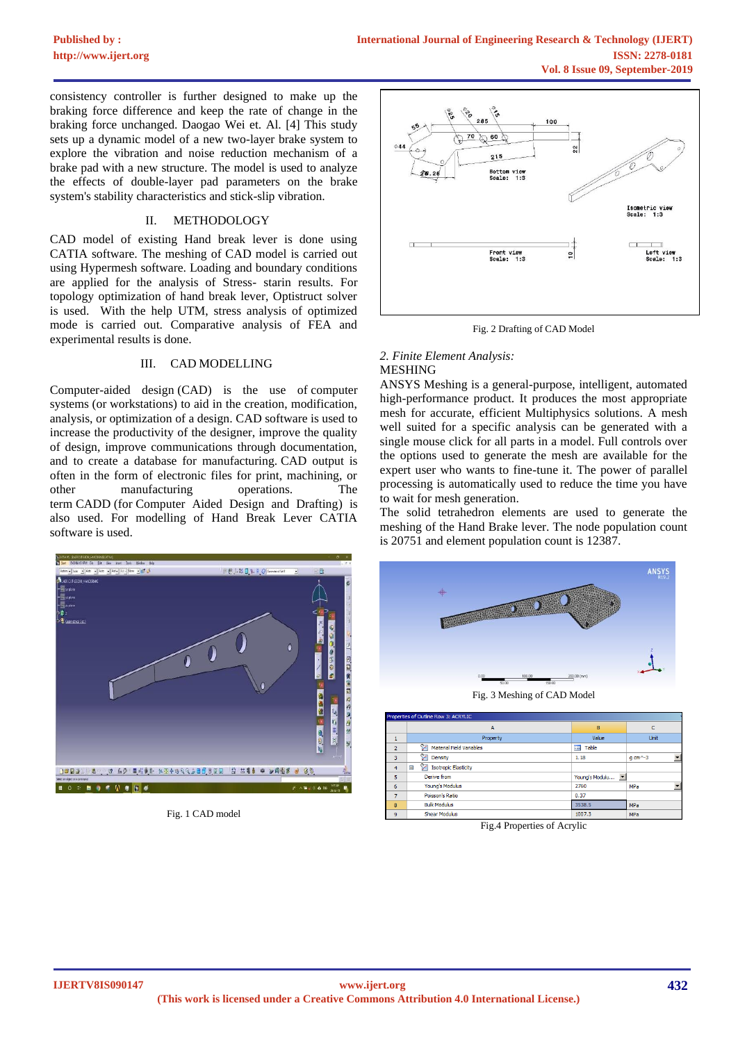consistency controller is further designed to make up the braking force difference and keep the rate of change in the braking force unchanged. Daogao Wei et. Al. [4] This study sets up a dynamic model of a new two-layer brake system to explore the vibration and noise reduction mechanism of a brake pad with a new structure. The model is used to analyze the effects of double-layer pad parameters on the brake system's stability characteristics and stick-slip vibration.

# II. METHODOLOGY

CAD model of existing Hand break lever is done using CATIA software. The meshing of CAD model is carried out using Hypermesh software. Loading and boundary conditions are applied for the analysis of Stress- starin results. For topology optimization of hand break lever, Optistruct solver is used. With the help UTM, stress analysis of optimized mode is carried out. Comparative analysis of FEA and experimental results is done.

# III. CAD MODELLING

Computer-aided design (CAD) is the use of [computer](https://en.wikipedia.org/wiki/Computer_system)  [systems](https://en.wikipedia.org/wiki/Computer_system) (or [workstations\)](https://en.wikipedia.org/wiki/Workstation) to aid in the creation, modification, analysis, or optimization of a [design.](https://en.wikipedia.org/wiki/Design) CAD software is used to increase the productivity of the designer, improve the quality of design, improve communications through documentation, and to create a database for manufacturing. CAD output is often in the form of electronic files for print, machining, or other manufacturing operations. The term CADD (for Computer Aided Design and Drafting) is also used. For modelling of Hand Break Lever CATIA software is used.



Fig. 1 CAD model



Fig. 2 Drafting of CAD Model

# *2. Finite Element Analysis:* MESHING

ANSYS Meshing is a general-purpose, intelligent, automated high-performance product. It produces the most appropriate mesh for accurate, efficient Multiphysics solutions. A mesh well suited for a specific analysis can be generated with a single mouse click for all parts in a model. Full controls over the options used to generate the mesh are available for the expert user who wants to fine-tune it. The power of parallel processing is automatically used to reduce the time you have to wait for mesh generation.

The solid tetrahedron elements are used to generate the meshing of the Hand Brake lever. The node population count is 20751 and element population count is 12387.



Fig. 3 Meshing of CAD Model

| Properties of Outline Row 3: ACRYLIC |                                              |                                            |                       |
|--------------------------------------|----------------------------------------------|--------------------------------------------|-----------------------|
|                                      | A                                            | B                                          | $\mathbb{C}$          |
|                                      | Property                                     | Value                                      | Unit                  |
| $\overline{2}$                       | <b>Material Field Variables</b>              | <b>III</b><br>Table                        |                       |
| 3                                    | r<br>Density                                 | 1.18                                       | $q$ cm $^{\wedge}$ -3 |
| 4                                    | Y<br><b>Isotropic Elasticity</b><br>$\equiv$ |                                            |                       |
| 5                                    | Derive from                                  | $\overline{\phantom{a}}$<br>Young's Modulu |                       |
| 6                                    | Young's Modulus                              | 2760                                       | MPa                   |
| $\overline{7}$                       | Poisson's Ratio                              | 0.37                                       |                       |
| 8                                    | <b>Bulk Modulus</b>                          | 3538.5                                     | MPa                   |
| 9                                    | Shear Modulus                                | 1007.3                                     | MPa                   |

Fig.4 Properties of Acrylic